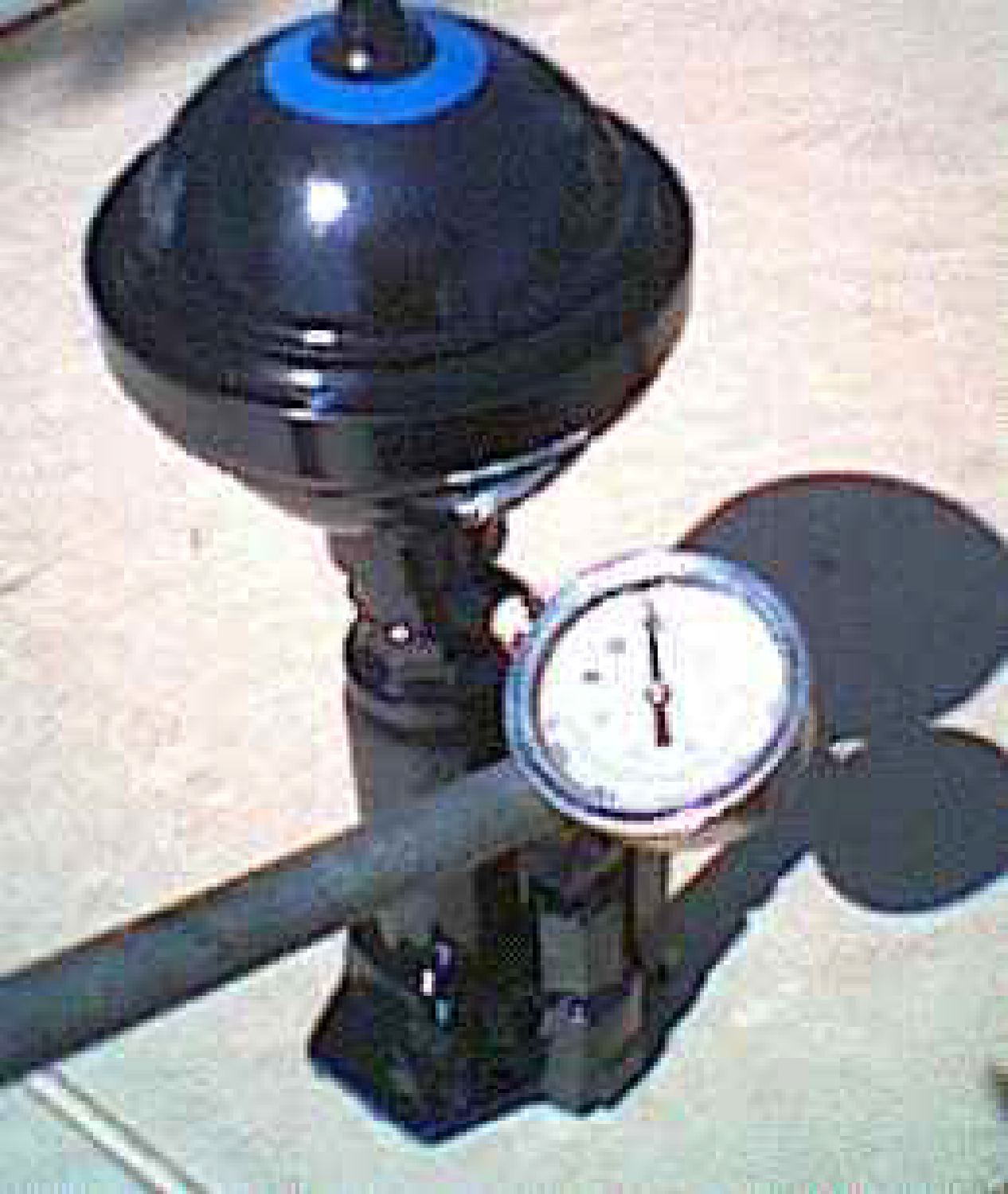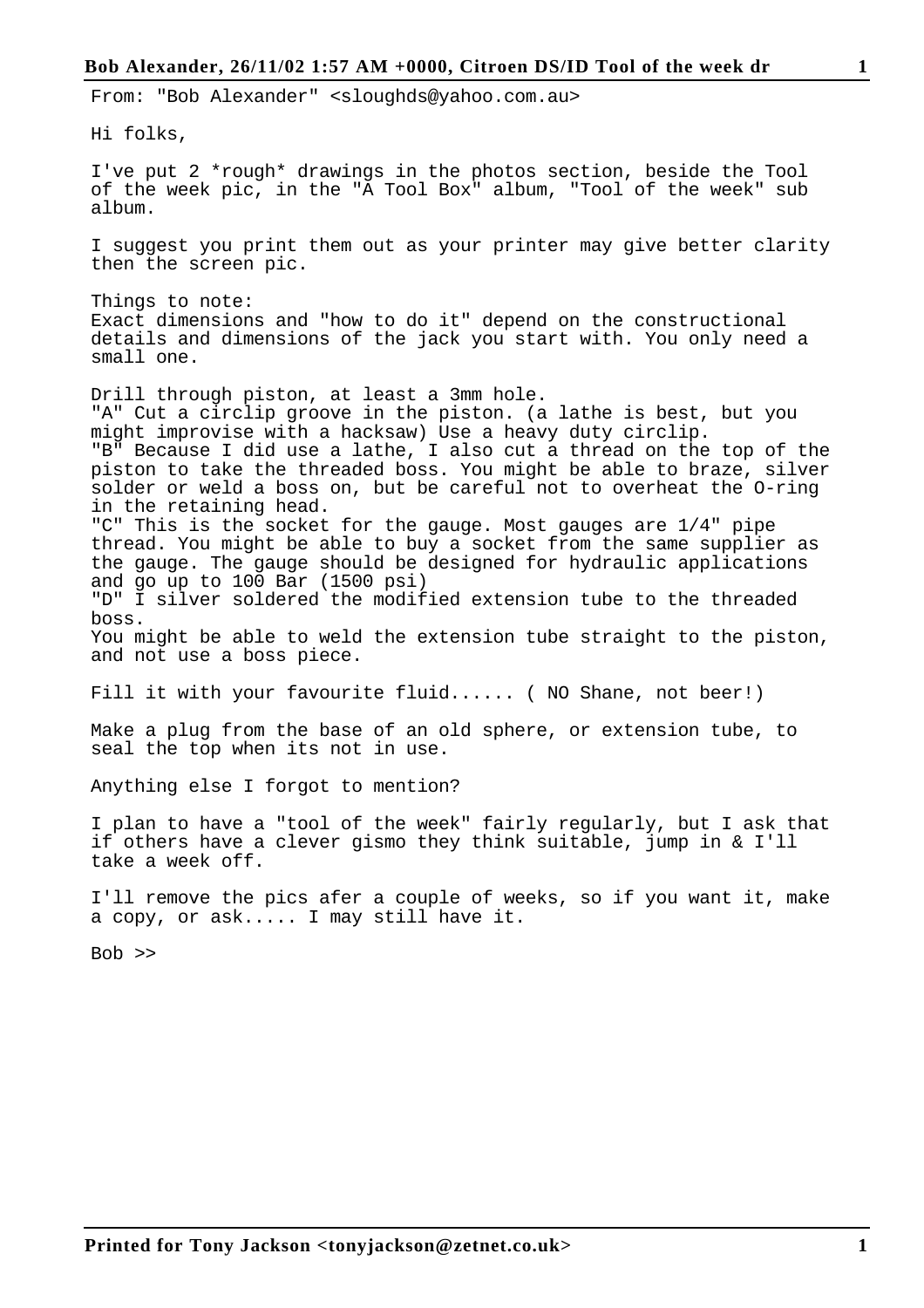From: "Bob Alexander" <sloughds@yahoo.com.au>

Hi folks,

I've put 2 \*rough\* drawings in the photos section, beside the Tool of the week pic, in the "A Tool Box" album, "Tool of the week" sub album.

I suggest you print them out as your printer may give better clarity then the screen pic.

Things to note: Exact dimensions and "how to do it" depend on the constructional details and dimensions of the jack you start with. You only need a small one.

Drill through piston, at least a 3mm hole. "A" Cut a circlip groove in the piston. (a lathe is best, but you might improvise with a hacksaw) Use a heavy duty circlip. "B" Because I did use a lathe, I also cut a thread on the top of the piston to take the threaded boss. You might be able to braze, silver solder or weld a boss on, but be careful not to overheat the O-ring in the retaining head. "C" This is the socket for the gauge. Most gauges are 1/4" pipe thread. You might be able to buy a socket from the same supplier as the gauge. The gauge should be designed for hydraulic applications and go up to 100 Bar (1500 psi)

"D" I silver soldered the modified extension tube to the threaded boss.

You might be able to weld the extension tube straight to the piston, and not use a boss piece.

Fill it with your favourite fluid...... ( NO Shane, not beer!)

Make a plug from the base of an old sphere, or extension tube, to seal the top when its not in use.

Anything else I forgot to mention?

I plan to have a "tool of the week" fairly regularly, but I ask that if others have a clever gismo they think suitable, jump in & I'll take a week off.

I'll remove the pics afer a couple of weeks, so if you want it, make a copy, or ask..... I may still have it.